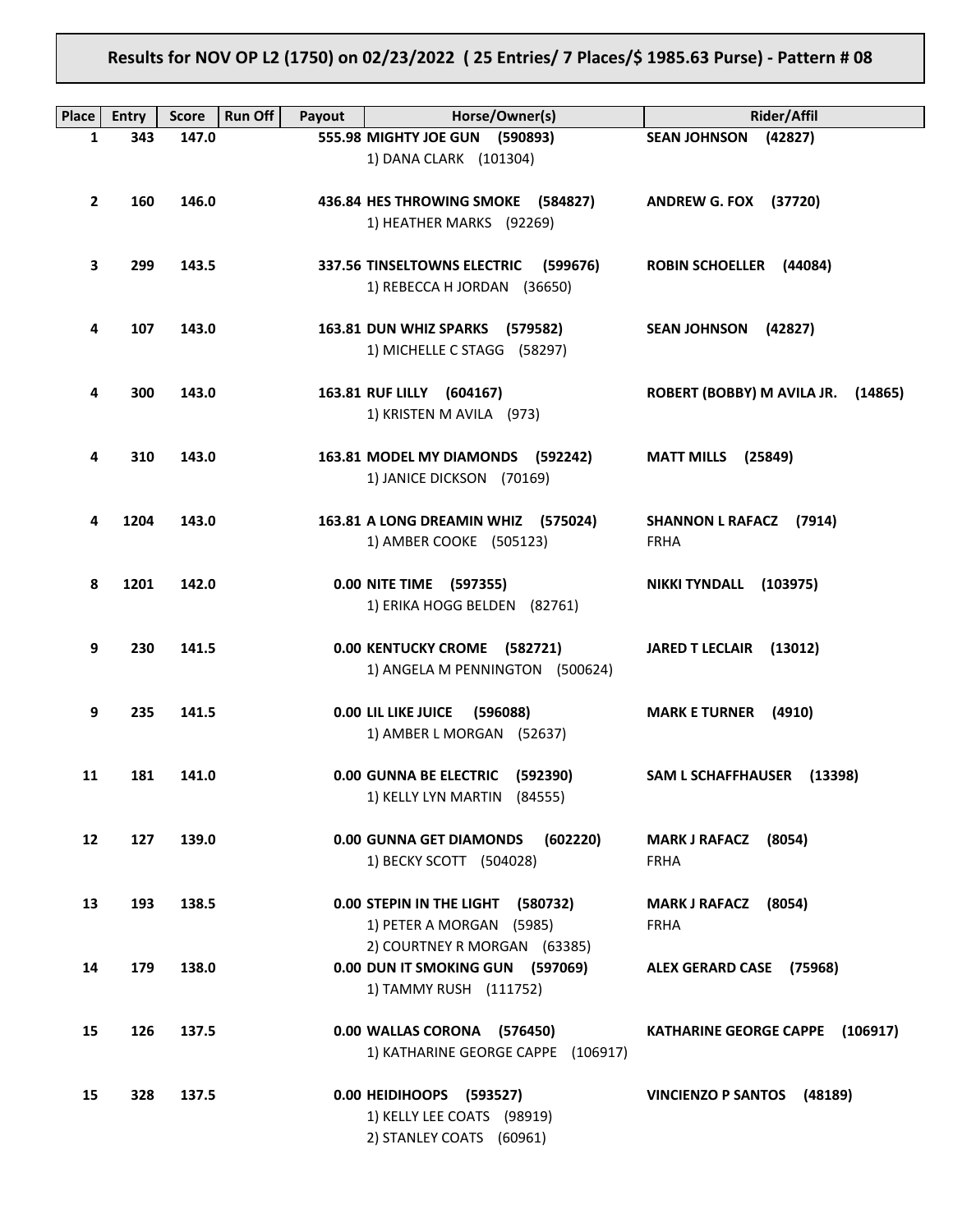# **Results for NOV OP L2 (1750) on 02/23/2022 ( 25 Entries/ 7 Places/\$ 1985.63 Purse) - Pattern # 08**

| <b>Place</b>    | <b>Entry</b> | <b>Score</b> | <b>Run Off</b><br>Payout | Horse/Owner(s)                          | Rider/Affil                               |
|-----------------|--------------|--------------|--------------------------|-----------------------------------------|-------------------------------------------|
| 1               | 343          | 147.0        |                          | 555.98 MIGHTY JOE GUN (590893)          | <b>SEAN JOHNSON</b><br>(42827)            |
|                 |              |              |                          | 1) DANA CLARK (101304)                  |                                           |
|                 |              |              |                          |                                         |                                           |
| $\mathbf{2}$    | 160          | 146.0        |                          | 436.84 HES THROWING SMOKE (584827)      | <b>ANDREW G. FOX (37720)</b>              |
|                 |              |              |                          | 1) HEATHER MARKS (92269)                |                                           |
|                 |              |              |                          |                                         |                                           |
| 3               | 299          | 143.5        |                          | 337.56 TINSELTOWNS ELECTRIC<br>(599676) | ROBIN SCHOELLER (44084)                   |
|                 |              |              |                          | 1) REBECCA H JORDAN (36650)             |                                           |
|                 |              |              |                          |                                         |                                           |
| 4               | 107          | 143.0        |                          | 163.81 DUN WHIZ SPARKS (579582)         | <b>SEAN JOHNSON</b><br>(42827)            |
|                 |              |              |                          | 1) MICHELLE C STAGG (58297)             |                                           |
|                 |              |              |                          |                                         |                                           |
| 4               | 300          | 143.0        |                          | 163.81 RUF LILLY (604167)               | ROBERT (BOBBY) M AVILA JR. (14865)        |
|                 |              |              |                          | 1) KRISTEN M AVILA (973)                |                                           |
|                 |              |              |                          |                                         |                                           |
| 4               | 310          | 143.0        |                          | 163.81 MODEL MY DIAMONDS (592242)       | <b>MATT MILLS</b> (25849)                 |
|                 |              |              |                          | 1) JANICE DICKSON (70169)               |                                           |
|                 |              |              |                          |                                         |                                           |
| 4               | 1204         | 143.0        |                          | 163.81 A LONG DREAMIN WHIZ (575024)     | <b>SHANNON L RAFACZ</b><br>(7914)         |
|                 |              |              |                          | 1) AMBER COOKE (505123)                 | <b>FRHA</b>                               |
| 8               | 1201         | 142.0        |                          | 0.00 NITE TIME (597355)                 | <b>NIKKI TYNDALL</b><br>(103975)          |
|                 |              |              |                          | 1) ERIKA HOGG BELDEN (82761)            |                                           |
|                 |              |              |                          |                                         |                                           |
| 9               | 230          | 141.5        |                          | 0.00 KENTUCKY CROME (582721)            | <b>JARED T LECLAIR</b><br>(13012)         |
|                 |              |              |                          | 1) ANGELA M PENNINGTON (500624)         |                                           |
|                 |              |              |                          |                                         |                                           |
| 9               | 235          | 141.5        |                          | 0.00 LIL LIKE JUICE<br>(596088)         | <b>MARK E TURNER</b><br>(4910)            |
|                 |              |              |                          | 1) AMBER L MORGAN (52637)               |                                           |
|                 |              |              |                          |                                         |                                           |
| 11              | 181          | 141.0        |                          | 0.00 GUNNA BE ELECTRIC (592390)         | SAM L SCHAFFHAUSER (13398)                |
|                 |              |              |                          | 1) KELLY LYN MARTIN (84555)             |                                           |
|                 |              |              |                          |                                         |                                           |
| 12 <sup>2</sup> | 127          | 139.0        |                          | 0.00 GUNNA GET DIAMONDS<br>(602220)     | MARK J RAFACZ (8054)                      |
|                 |              |              |                          | 1) BECKY SCOTT (504028)                 | <b>FRHA</b>                               |
| 13              | 193          | 138.5        |                          | 0.00 STEPIN IN THE LIGHT (580732)       | MARK J RAFACZ (8054)                      |
|                 |              |              |                          | 1) PETER A MORGAN (5985)                | <b>FRHA</b>                               |
|                 |              |              |                          | 2) COURTNEY R MORGAN (63385)            |                                           |
| 14              | 179          | 138.0        |                          | 0.00 DUN IT SMOKING GUN (597069)        | ALEX GERARD CASE (75968)                  |
|                 |              |              |                          | 1) TAMMY RUSH (111752)                  |                                           |
|                 |              |              |                          |                                         |                                           |
| 15              | 126          | 137.5        |                          | 0.00 WALLAS CORONA (576450)             | <b>KATHARINE GEORGE CAPPE</b><br>(106917) |
|                 |              |              |                          | 1) KATHARINE GEORGE CAPPE (106917)      |                                           |
|                 |              |              |                          |                                         |                                           |
| 15              | 328          | 137.5        |                          | 0.00 HEIDIHOOPS (593527)                | VINCIENZO P SANTOS (48189)                |
|                 |              |              |                          | 1) KELLY LEE COATS (98919)              |                                           |
|                 |              |              |                          | 2) STANLEY COATS (60961)                |                                           |
|                 |              |              |                          |                                         |                                           |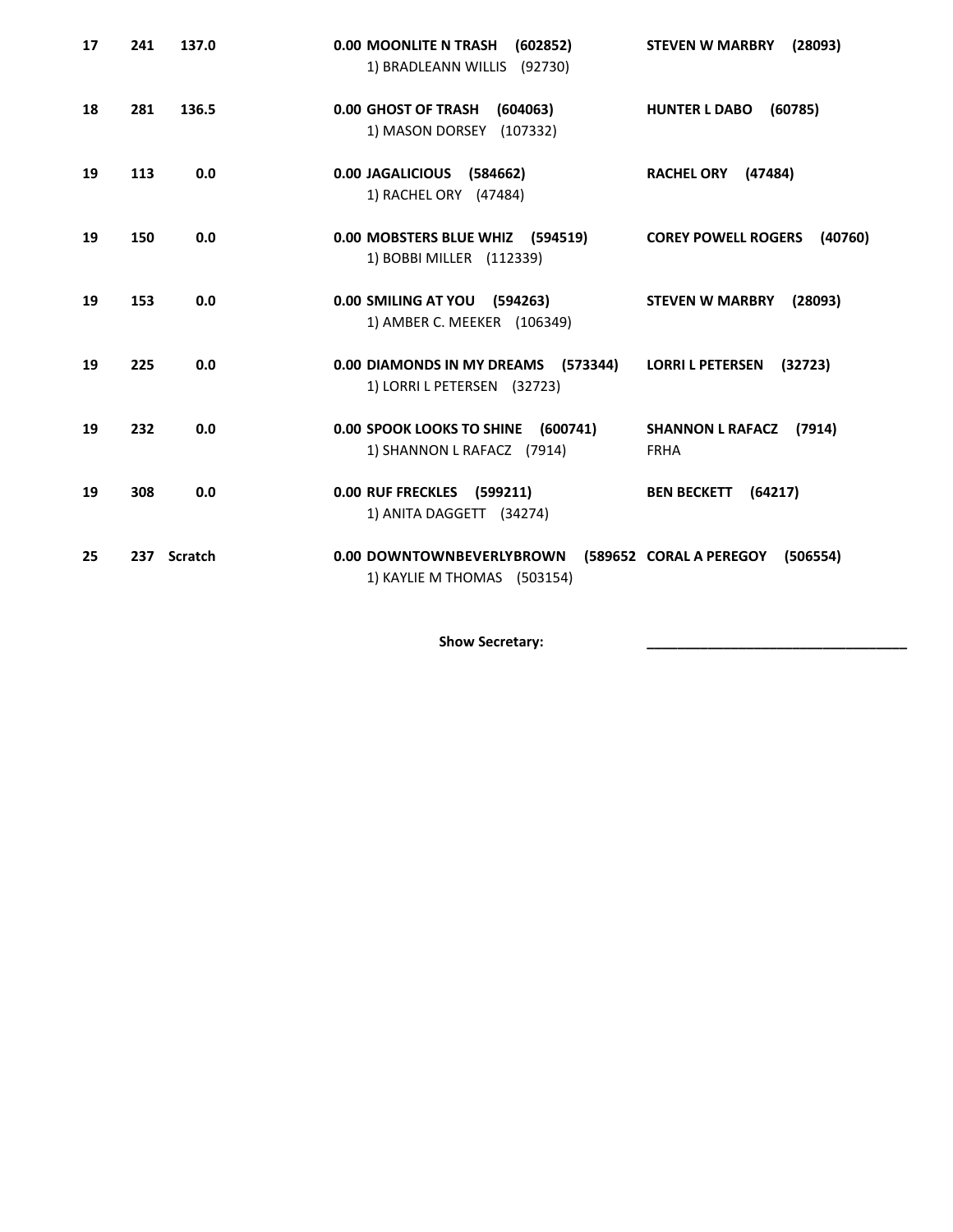| 17 | 241 | 137.0       | 0.00 MOONLITE N TRASH<br>(602852)<br>1) BRADLEANN WILLIS (92730)   | <b>STEVEN W MARBRY</b><br>(28093)                |
|----|-----|-------------|--------------------------------------------------------------------|--------------------------------------------------|
| 18 | 281 | 136.5       | 0.00 GHOST OF TRASH<br>(604063)<br>1) MASON DORSEY (107332)        | <b>HUNTER L DABO</b><br>(60785)                  |
| 19 | 113 | 0.0         | 0.00 JAGALICIOUS (584662)<br>1) RACHEL ORY (47484)                 | RACHEL ORY (47484)                               |
| 19 | 150 | 0.0         | 0.00 MOBSTERS BLUE WHIZ (594519)<br>1) BOBBI MILLER (112339)       | <b>COREY POWELL ROGERS</b><br>(40760)            |
| 19 | 153 | 0.0         | 0.00 SMILING AT YOU (594263)<br>1) AMBER C. MEEKER (106349)        | <b>STEVEN W MARBRY</b><br>(28093)                |
| 19 | 225 | 0.0         | 0.00 DIAMONDS IN MY DREAMS (573344)<br>1) LORRI L PETERSEN (32723) | <b>LORRI L PETERSEN</b><br>(32723)               |
| 19 | 232 | 0.0         | 0.00 SPOOK LOOKS TO SHINE (600741)<br>1) SHANNON L RAFACZ (7914)   | <b>SHANNON L RAFACZ</b><br>(7914)<br><b>FRHA</b> |
| 19 | 308 | 0.0         | 0.00 RUF FRECKLES (599211)<br>1) ANITA DAGGETT (34274)             | <b>BEN BECKETT</b><br>(64217)                    |
| 25 |     | 237 Scratch | 0.00 DOWNTOWNBEVERLYBROWN<br>1) KAYLIE M THOMAS (503154)           | (589652 CORAL A PEREGOY<br>(506554)              |

Show Secretary: